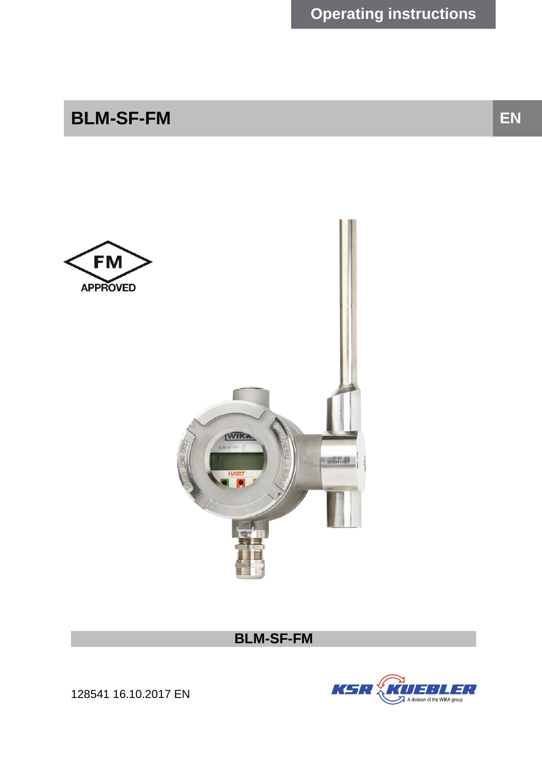# **BLM-SF-FM EN**



**BLM-SF-FM**



128541 16.10.2017 EN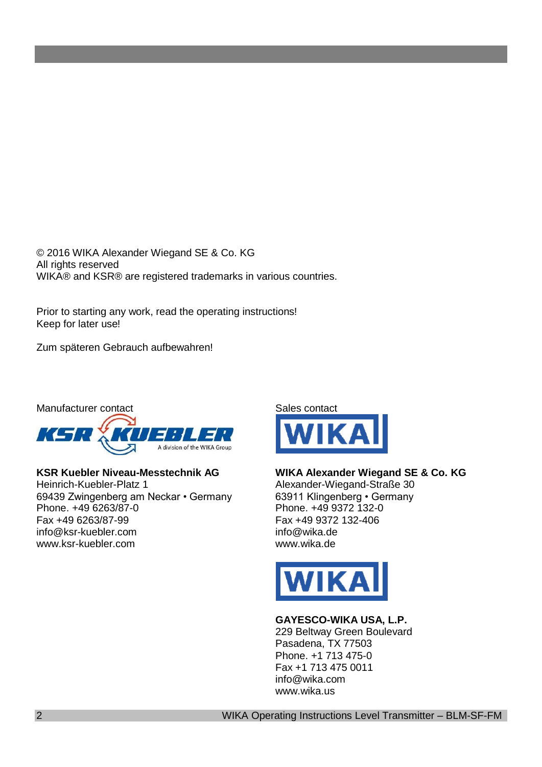© 2016 WIKA Alexander Wiegand SE & Co. KG All rights reserved WIKA® and KSR® are registered trademarks in various countries.

Prior to starting any work, read the operating instructions! Keep for later use!

Zum späteren Gebrauch aufbewahren!



#### **KSR Kuebler Niveau-Messtechnik AG**

Heinrich-Kuebler-Platz 1 69439 Zwingenberg am Neckar • Germany Phone. +49 6263/87-0 Fax +49 6263/87-99 info@ksr-kuebler.com www.ksr-kuebler.com



#### **WIKA Alexander Wiegand SE & Co. KG**

Alexander-Wiegand-Straße 30 63911 Klingenberg • Germany Phone. +49 9372 132-0 Fax +49 9372 132-406 info@wika.de www.wika.de



#### **GAYESCO-WIKA USA, L.P.**

229 Beltway Green Boulevard Pasadena, TX 77503 Phone. +1 713 475-0 Fax +1 713 475 0011 info@wika.com www.wika.us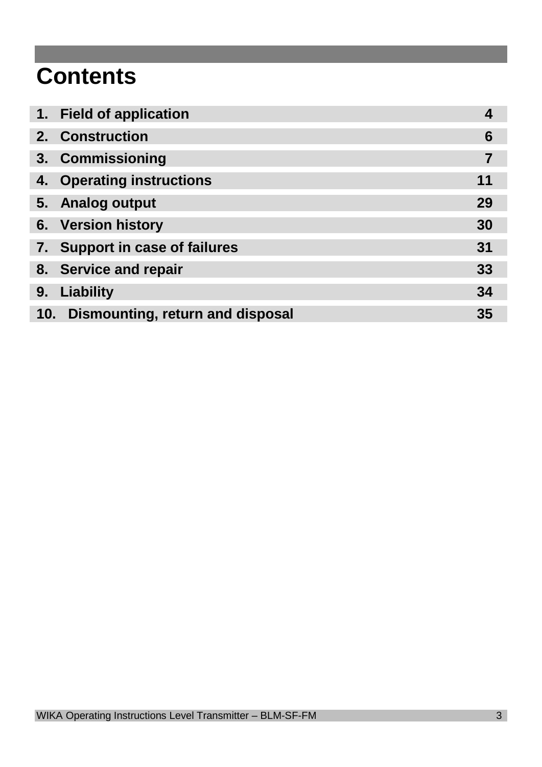# **Contents**

|                | 1. Field of application              |    |
|----------------|--------------------------------------|----|
| 2 <sub>1</sub> | <b>Construction</b>                  | 6  |
| 3 <sub>1</sub> | <b>Commissioning</b>                 |    |
| 4.             | <b>Operating instructions</b>        | 11 |
|                | 5. Analog output                     | 29 |
|                | 6. Version history                   | 30 |
|                | 7. Support in case of failures       | 31 |
|                | 8. Service and repair                | 33 |
| 9.             | Liability                            | 34 |
|                | 10. Dismounting, return and disposal | 35 |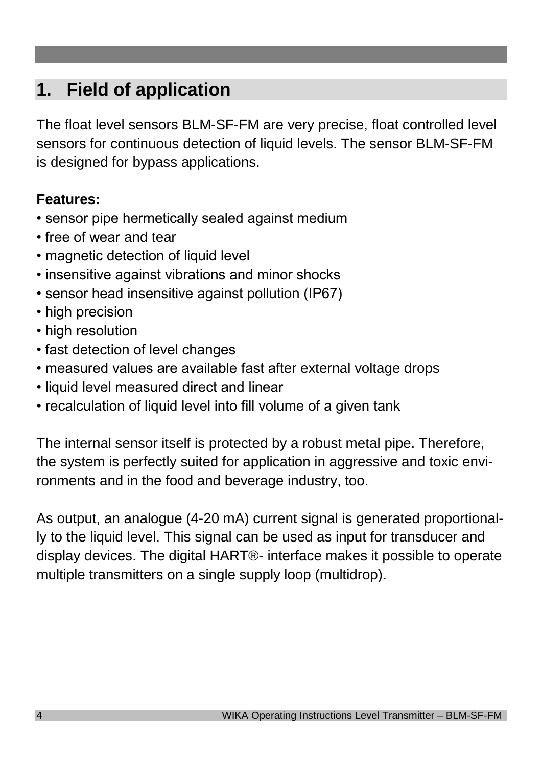# **1. Field of application**

The float level sensors BLM-SF-FM are very precise, float controlled level sensors for continuous detection of liquid levels. The sensor BLM-SF-FM is designed for bypass applications.

# **Features:**

- sensor pipe hermetically sealed against medium
- free of wear and tear
- magnetic detection of liquid level
- insensitive against vibrations and minor shocks
- sensor head insensitive against pollution (IP67)
- high precision
- high resolution
- fast detection of level changes
- measured values are available fast after external voltage drops
- liquid level measured direct and linear
- recalculation of liquid level into fill volume of a given tank

The internal sensor itself is protected by a robust metal pipe. Therefore, the system is perfectly suited for application in aggressive and toxic environments and in the food and beverage industry, too.

As output, an analogue (4-20 mA) current signal is generated proportionally to the liquid level. This signal can be used as input for transducer and display devices. The digital HART®- interface makes it possible to operate multiple transmitters on a single supply loop (multidrop).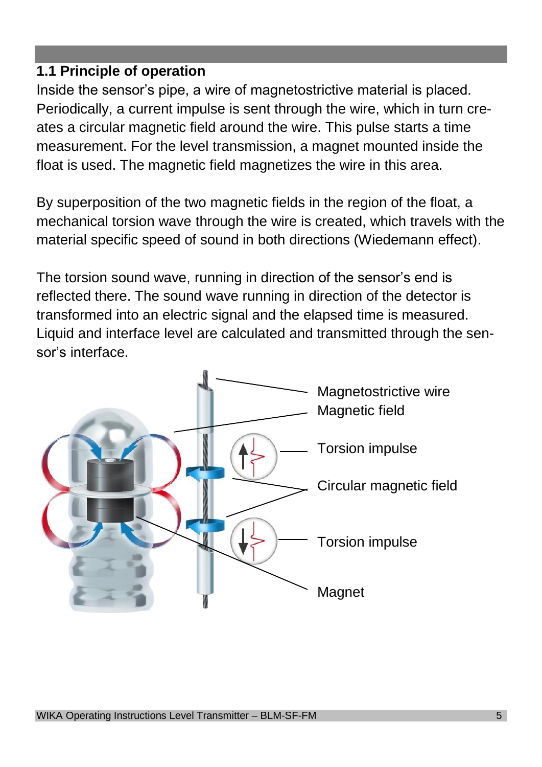# **1.1 Principle of operation**

Inside the sensor's pipe, a wire of magnetostrictive material is placed. Periodically, a current impulse is sent through the wire, which in turn creates a circular magnetic field around the wire. This pulse starts a time measurement. For the level transmission, a magnet mounted inside the float is used. The magnetic field magnetizes the wire in this area.

By superposition of the two magnetic fields in the region of the float, a mechanical torsion wave through the wire is created, which travels with the material specific speed of sound in both directions (Wiedemann effect).

The torsion sound wave, running in direction of the sensor's end is reflected there. The sound wave running in direction of the detector is transformed into an electric signal and the elapsed time is measured. Liquid and interface level are calculated and transmitted through the sensor's interface.

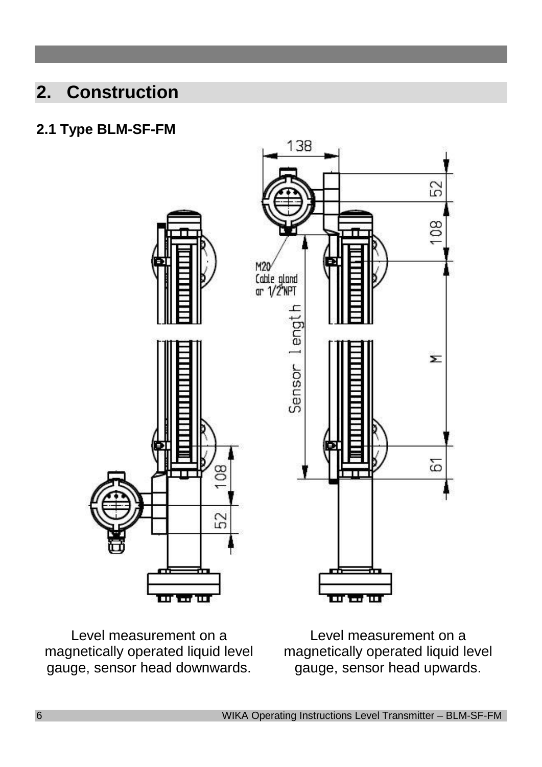# **2. Construction**

# **2.1 Type BLM-SF-FM**



Level measurement on a magnetically operated liquid level gauge, sensor head downwards.

Level measurement on a magnetically operated liquid level gauge, sensor head upwards.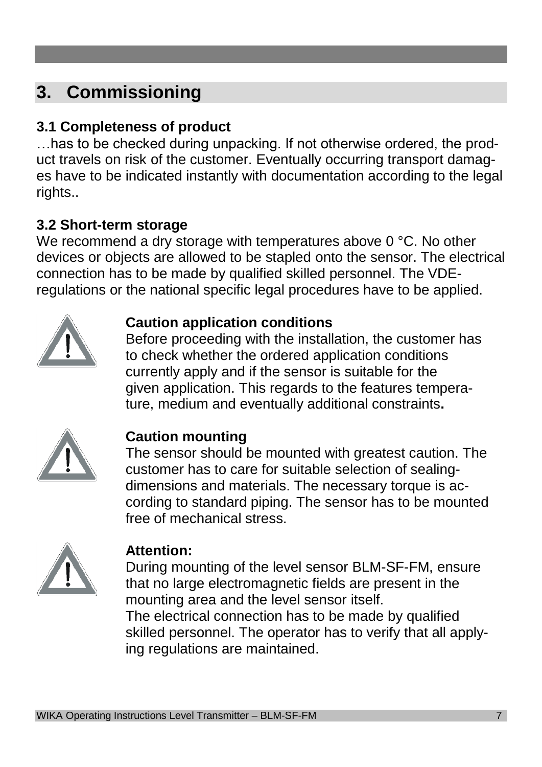# **3. Commissioning**

# **3.1 Completeness of product**

…has to be checked during unpacking. If not otherwise ordered, the product travels on risk of the customer. Eventually occurring transport damages have to be indicated instantly with documentation according to the legal rights..

# **3.2 Short-term storage**

We recommend a dry storage with temperatures above 0 °C. No other devices or objects are allowed to be stapled onto the sensor. The electrical connection has to be made by qualified skilled personnel. The VDEregulations or the national specific legal procedures have to be applied.



# **Caution application conditions**

Before proceeding with the installation, the customer has to check whether the ordered application conditions currently apply and if the sensor is suitable for the given application. This regards to the features temperature, medium and eventually additional constraints**.**



# **Caution mounting**

The sensor should be mounted with greatest caution. The customer has to care for suitable selection of sealingdimensions and materials. The necessary torque is according to standard piping. The sensor has to be mounted free of mechanical stress.



# **Attention:**

During mounting of the level sensor BLM-SF-FM, ensure that no large electromagnetic fields are present in the mounting area and the level sensor itself. The electrical connection has to be made by qualified skilled personnel. The operator has to verify that all apply-

ing regulations are maintained.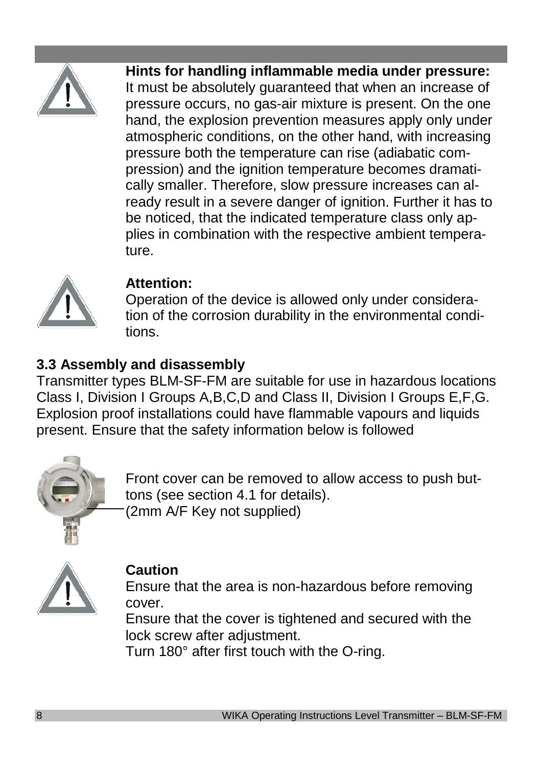

**Hints for handling inflammable media under pressure:** It must be absolutely guaranteed that when an increase of pressure occurs, no gas-air mixture is present. On the one hand, the explosion prevention measures apply only under atmospheric conditions, on the other hand, with increasing pressure both the temperature can rise (adiabatic compression) and the ignition temperature becomes dramatically smaller. Therefore, slow pressure increases can already result in a severe danger of ignition. Further it has to be noticed, that the indicated temperature class only applies in combination with the respective ambient temperature.



# **Attention:**

Operation of the device is allowed only under consideration of the corrosion durability in the environmental conditions.

# **3.3 Assembly and disassembly**

Transmitter types BLM-SF-FM are suitable for use in hazardous locations Class I, Division I Groups A,B,C,D and Class II, Division I Groups E,F,G. Explosion proof installations could have flammable vapours and liquids present. Ensure that the safety information below is followed



Front cover can be removed to allow access to push buttons (see section 4.1 for details). (2mm A/F Key not supplied)



# **Caution**

Ensure that the area is non-hazardous before removing cover.

Ensure that the cover is tightened and secured with the lock screw after adjustment.

Turn 180° after first touch with the O-ring.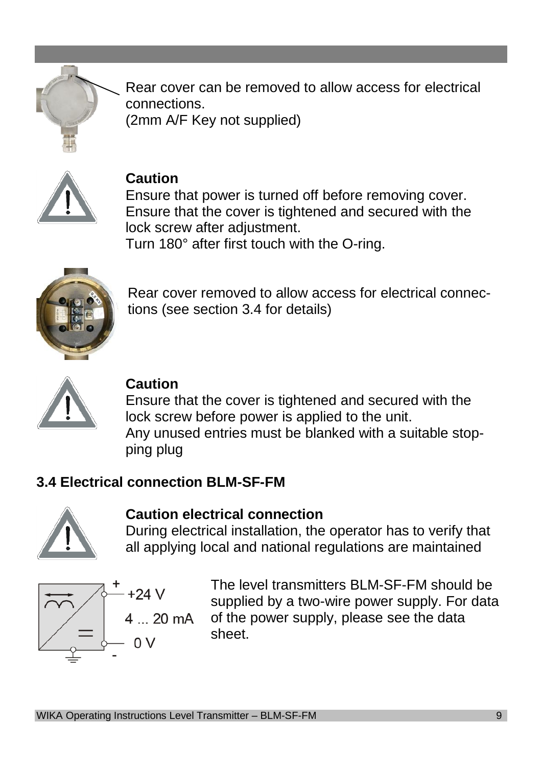

Rear cover can be removed to allow access for electrical connections. (2mm A/F Key not supplied)



### **Caution**

Ensure that power is turned off before removing cover. Ensure that the cover is tightened and secured with the lock screw after adjustment.

Turn 180° after first touch with the O-ring.



Rear cover removed to allow access for electrical connections (see section 3.4 for details)



### **Caution**

Ensure that the cover is tightened and secured with the lock screw before power is applied to the unit. Any unused entries must be blanked with a suitable stopping plug

### **3.4 Electrical connection BLM-SF-FM**



## **Caution electrical connection**

During electrical installation, the operator has to verify that all applying local and national regulations are maintained

$$
+24 V
$$
\n
$$
4 ... 20 m
$$
\n
$$
V
$$
\n
$$
= 0 V
$$

The level transmitters BLM-SF-FM should be supplied by a two-wire power supply. For data of the power supply, please see the data A I sheet.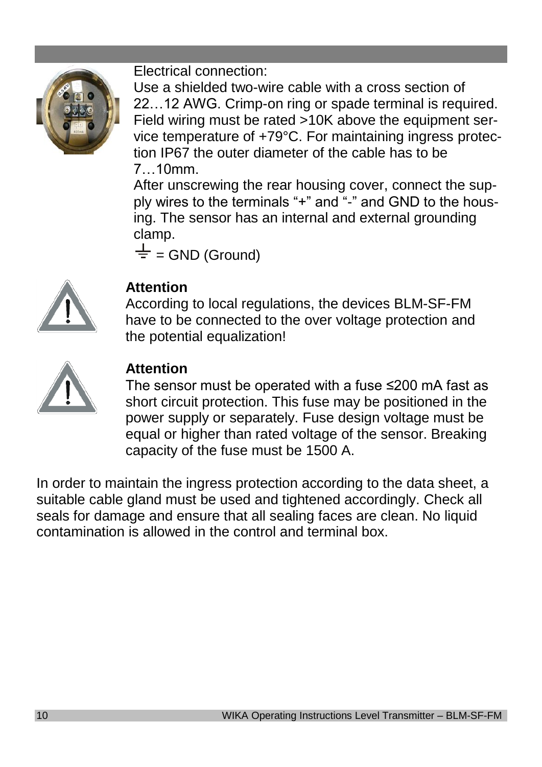

Electrical connection:

Use a shielded two-wire cable with a cross section of 22…12 AWG. Crimp-on ring or spade terminal is required. Field wiring must be rated >10K above the equipment service temperature of +79°C. For maintaining ingress protection IP67 the outer diameter of the cable has to be 7…10mm.

After unscrewing the rear housing cover, connect the supply wires to the terminals "+" and "-" and GND to the housing. The sensor has an internal and external grounding clamp.

 $\frac{1}{x}$  = GND (Ground)



# **Attention**

According to local regulations, the devices BLM-SF-FM have to be connected to the over voltage protection and the potential equalization!



# **Attention**

The sensor must be operated with a fuse ≤200 mA fast as short circuit protection. This fuse may be positioned in the power supply or separately. Fuse design voltage must be equal or higher than rated voltage of the sensor. Breaking capacity of the fuse must be 1500 A.

In order to maintain the ingress protection according to the data sheet, a suitable cable gland must be used and tightened accordingly. Check all seals for damage and ensure that all sealing faces are clean. No liquid contamination is allowed in the control and terminal box.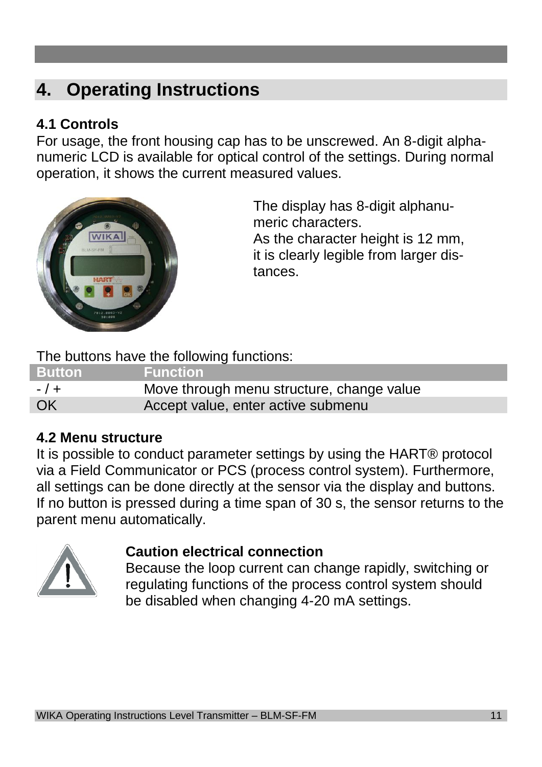# **4. Operating Instructions**

# **4.1 Controls**

For usage, the front housing cap has to be unscrewed. An 8-digit alphanumeric LCD is available for optical control of the settings. During normal operation, it shows the current measured values.



The display has 8-digit alphanumeric characters. As the character height is 12 mm, it is clearly legible from larger distances.

The buttons have the following functions:

| <b>Button</b> | <b>Function</b>                           |
|---------------|-------------------------------------------|
| $-1+$         | Move through menu structure, change value |
| OK            | Accept value, enter active submenu        |

# **4.2 Menu structure**

It is possible to conduct parameter settings by using the HART® protocol via a Field Communicator or PCS (process control system). Furthermore, all settings can be done directly at the sensor via the display and buttons. If no button is pressed during a time span of 30 s, the sensor returns to the parent menu automatically.



### **Caution electrical connection**

Because the loop current can change rapidly, switching or regulating functions of the process control system should be disabled when changing 4-20 mA settings.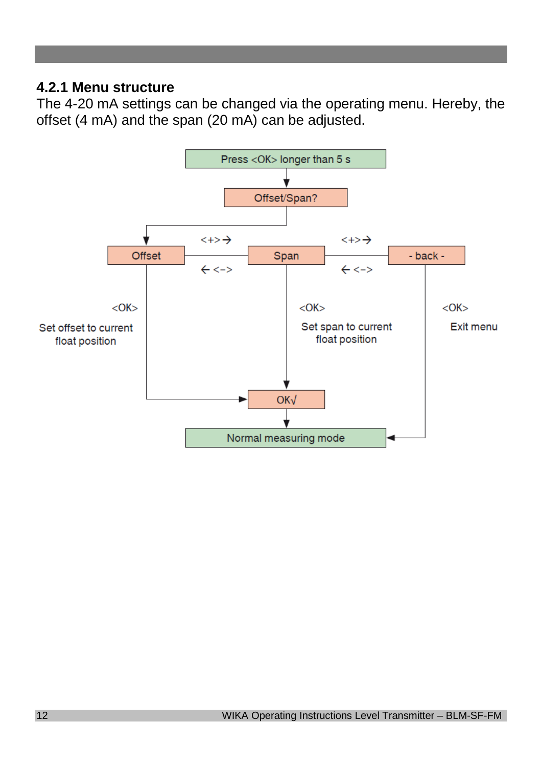## **4.2.1 Menu structure**

The 4-20 mA settings can be changed via the operating menu. Hereby, the offset (4 mA) and the span (20 mA) can be adjusted.

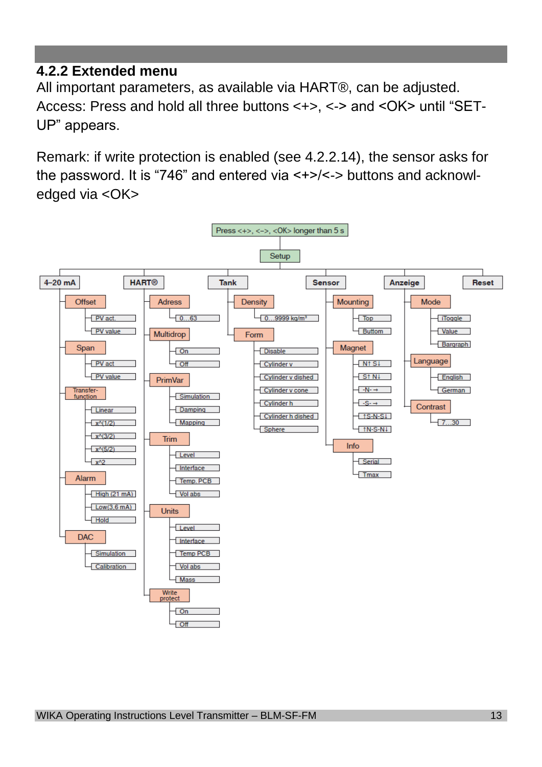# **4.2.2 Extended menu**

All important parameters, as available via HART®, can be adjusted. Access: Press and hold all three buttons <+>, <-> and <OK> until "SET-UP" appears.

Remark: if write protection is enabled (see 4.2.2.14), the sensor asks for the password. It is "746" and entered via <+>/<-> buttons and acknowledged via <OK>

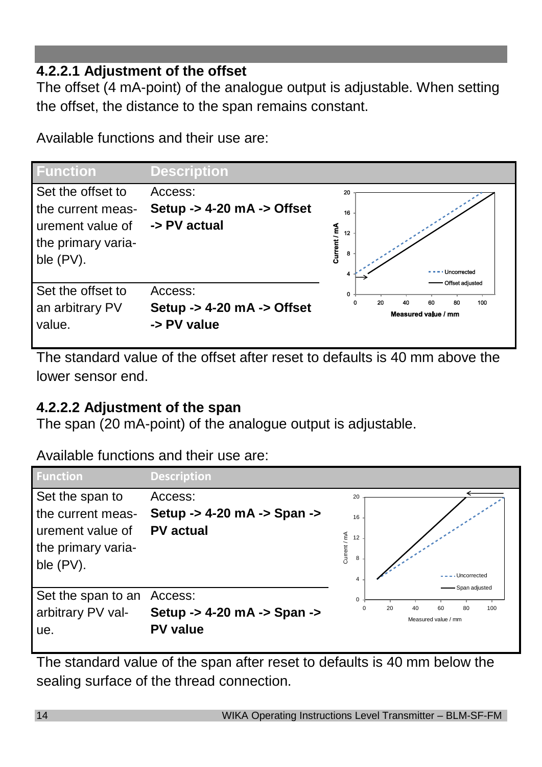# **4.2.2.1 Adjustment of the offset**

The offset (4 mA-point) of the analogue output is adjustable. When setting the offset, the distance to the span remains constant.

Available functions and their use are:



The standard value of the offset after reset to defaults is 40 mm above the lower sensor end.

# **4.2.2.2 Adjustment of the span**

The span (20 mA-point) of the analogue output is adjustable.

Available functions and their use are:



The standard value of the span after reset to defaults is 40 mm below the sealing surface of the thread connection.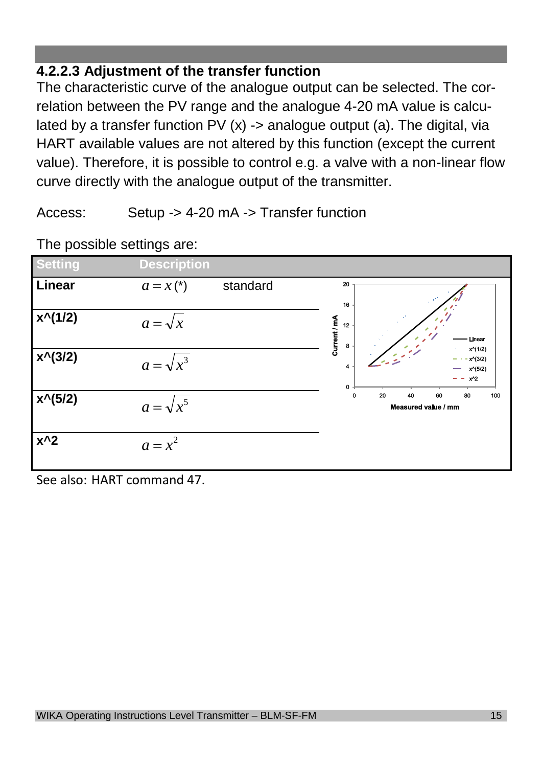# **4.2.2.3 Adjustment of the transfer function**

The characteristic curve of the analogue output can be selected. The correlation between the PV range and the analogue 4-20 mA value is calculated by a transfer function PV  $(x)$  -> analogue output (a). The digital, via HART available values are not altered by this function (except the current value). Therefore, it is possible to control e.g. a valve with a non-linear flow curve directly with the analogue output of the transmitter.

Access: Setup -> 4-20 mA -> Transfer function



The possible settings are:

See also: HART command 47.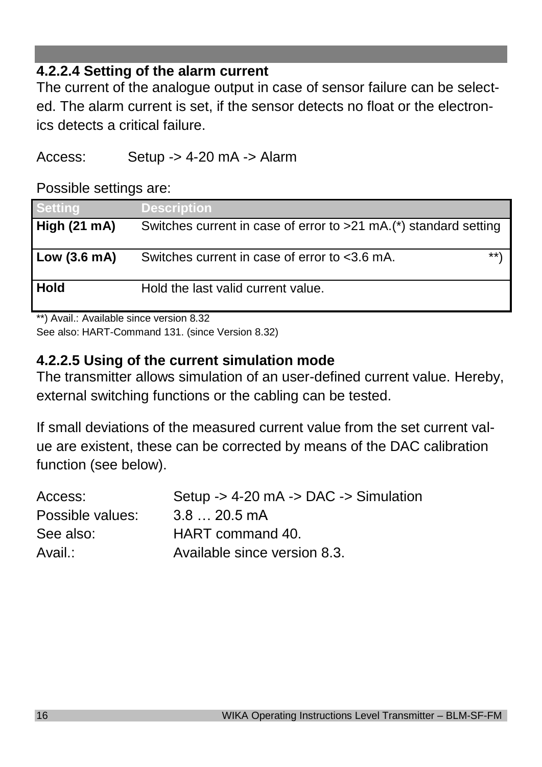# **4.2.2.4 Setting of the alarm current**

The current of the analogue output in case of sensor failure can be selected. The alarm current is set, if the sensor detects no float or the electronics detects a critical failure.

Access: Setup -> 4-20 mA -> Alarm

Possible settings are:

| <b>Setting</b> | Description                                                      |
|----------------|------------------------------------------------------------------|
| High (21 mA)   | Switches current in case of error to >21 mA.(*) standard setting |
| Low (3.6 mA)   | $***$<br>Switches current in case of error to <3.6 mA.           |
| Hold           | Hold the last valid current value.                               |

\*\*) Avail.: Available since version 8.32

See also: HART-Command 131. (since Version 8.32)

# **4.2.2.5 Using of the current simulation mode**

The transmitter allows simulation of an user-defined current value. Hereby, external switching functions or the cabling can be tested.

If small deviations of the measured current value from the set current value are existent, these can be corrected by means of the DAC calibration function (see below).

| Access:          | Setup $-$ 4-20 mA $-$ DAC $-$ Simulation |
|------------------|------------------------------------------|
| Possible values: | 3.8  20.5 mA                             |
| See also:        | HART command 40.                         |
| Avail.:          | Available since version 8.3.             |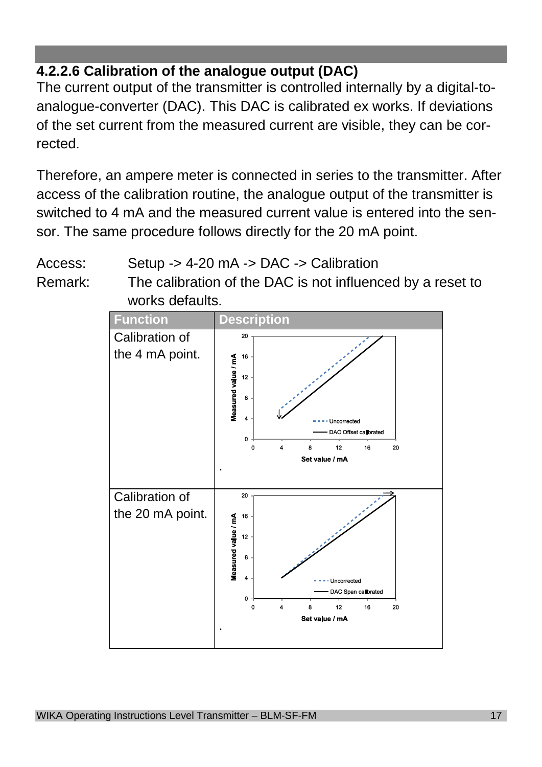# **4.2.2.6 Calibration of the analogue output (DAC)**

The current output of the transmitter is controlled internally by a digital-toanalogue-converter (DAC). This DAC is calibrated ex works. If deviations of the set current from the measured current are visible, they can be corrected.

Therefore, an ampere meter is connected in series to the transmitter. After access of the calibration routine, the analogue output of the transmitter is switched to 4 mA and the measured current value is entered into the sensor. The same procedure follows directly for the 20 mA point.

Access: Setup -> 4-20 mA -> DAC -> Calibration

Remark: The calibration of the DAC is not influenced by a reset to works defaults.

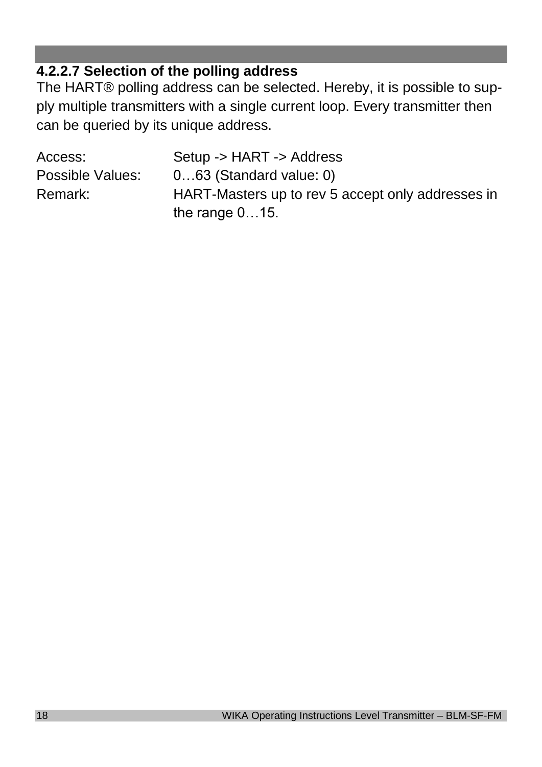# **4.2.2.7 Selection of the polling address**

The HART® polling address can be selected. Hereby, it is possible to supply multiple transmitters with a single current loop. Every transmitter then can be queried by its unique address.

| Access:          | Setup -> HART -> Address                          |
|------------------|---------------------------------------------------|
| Possible Values: | $063$ (Standard value: 0)                         |
| Remark:          | HART-Masters up to rev 5 accept only addresses in |
|                  | the range $015$ .                                 |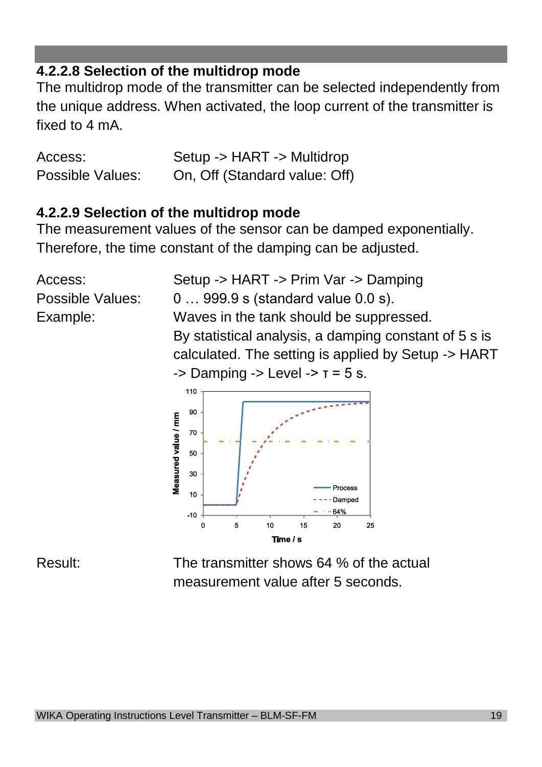# **4.2.2.8 Selection of the multidrop mode**

The multidrop mode of the transmitter can be selected independently from the unique address. When activated, the loop current of the transmitter is fixed to  $4 \text{ mA}$ .

Access: Setup -> HART -> Multidrop Possible Values: On, Off (Standard value: Off)

### **4.2.2.9 Selection of the multidrop mode**

The measurement values of the sensor can be damped exponentially. Therefore, the time constant of the damping can be adjusted.

Access: Setup -> HART -> Prim Var -> Damping Possible Values:  $0...999.9 s$  (standard value 0.0 s). Example: Waves in the tank should be suppressed. By statistical analysis, a damping constant of 5 s is calculated. The setting is applied by Setup -> HART  $\rightarrow$  Damping  $\rightarrow$  Level  $\rightarrow$   $\tau$  = 5 s.



Result: The transmitter shows 64 % of the actual measurement value after 5 seconds.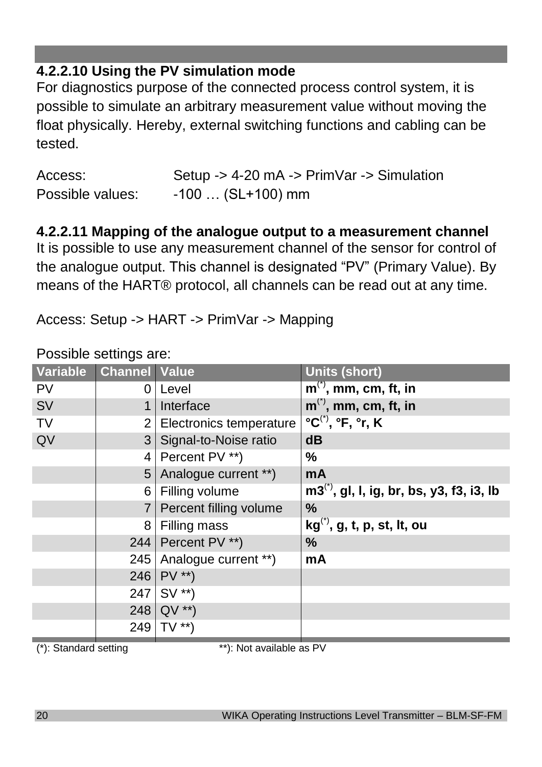# **4.2.2.10 Using the PV simulation mode**

For diagnostics purpose of the connected process control system, it is possible to simulate an arbitrary measurement value without moving the float physically. Hereby, external switching functions and cabling can be tested.

| Access:          | Setup -> 4-20 mA -> PrimVar -> Simulation |
|------------------|-------------------------------------------|
| Possible values: | -100 … (SL+100) mm                        |

# **4.2.2.11 Mapping of the analogue output to a measurement channel**

It is possible to use any measurement channel of the sensor for control of the analogue output. This channel is designated "PV" (Primary Value). By means of the HART® protocol, all channels can be read out at any time.

Access: Setup -> HART -> PrimVar -> Mapping

| Possible settings are: |  |
|------------------------|--|
|                        |  |

| Variable  | <b>Channel Value</b> |                           | <b>Units (short)</b>                              |
|-----------|----------------------|---------------------------|---------------------------------------------------|
| <b>PV</b> | 0                    | Level                     | $m^{(7)}$ , mm, cm, ft, in                        |
| SV        |                      | Interface                 | $m^{(7)}$ , mm, cm, ft, in                        |
| <b>TV</b> |                      | 2 Electronics temperature | $^{\circ}C^{(7)}$ , $^{\circ}F$ , $^{\circ}r$ , K |
| QV        |                      | 3 Signal-to-Noise ratio   | dB                                                |
|           |                      | 4   Percent PV **)        | ℅                                                 |
|           |                      | 5 Analogue current **)    | mA                                                |
|           |                      | 6 Filling volume          | $m3^{(1)}$ , gl, l, ig, br, bs, y3, f3, i3, lb    |
|           |                      | Percent filling volume    | %                                                 |
|           |                      | 8   Filling mass          | $kg^{(7)}$ , g, t, p, st, lt, ou                  |
|           |                      | 244   Percent PV **)      | ℅                                                 |
|           |                      | 245 Analogue current **)  | mA                                                |
|           |                      | 246   $PV$ **)            |                                                   |
|           |                      | $247$ SV **)              |                                                   |
|           |                      | 248 QV **)                |                                                   |
|           |                      | 249 $TV$ **)              |                                                   |

 $(*)$ : Standard setting \*\*\*): Not available as PV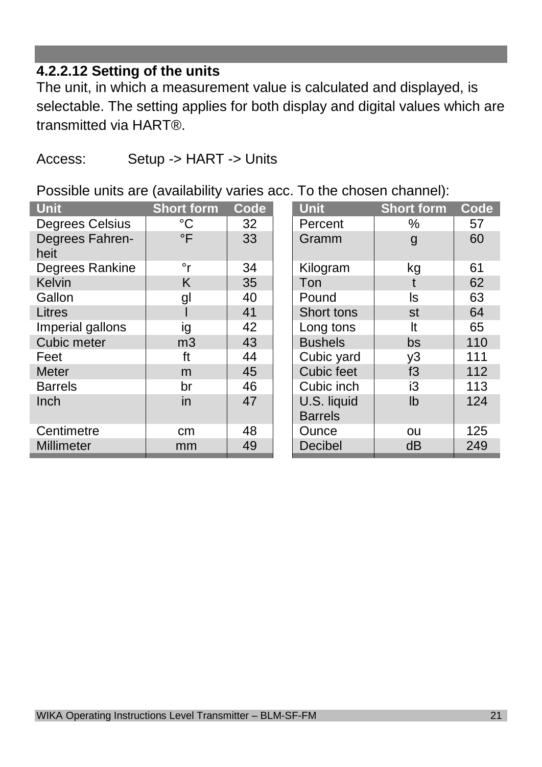# **4.2.2.12 Setting of the units**

The unit, in which a measurement value is calculated and displayed, is selectable. The setting applies for both display and digital values which are transmitted via HART®.

### Access: Setup -> HART -> Units

Possible units are (availability varies acc. To the chosen channel):

| <b>Unit</b>             | <b>Short form</b> | Code | <b>Unit</b>                   | <b>Short form</b> | Code |
|-------------------------|-------------------|------|-------------------------------|-------------------|------|
| Degrees Celsius         | °C                | 32   | Percent                       | %                 | 57   |
| Degrees Fahren-<br>heit | $\circ$ F         | 33   | Gramm                         | g                 | 60   |
| Degrees Rankine         | °r                | 34   | Kilogram                      | kg                | 61   |
| Kelvin                  | Κ                 | 35   | Ton                           |                   | 62   |
| Gallon                  | gl                | 40   | Pound                         | ls                | 63   |
| Litres                  |                   | 41   | Short tons                    | st                | 64   |
| Imperial gallons        | ig                | 42   | Long tons                     | It                | 65   |
| Cubic meter             | m <sub>3</sub>    | 43   | <b>Bushels</b>                | bs                | 110  |
| Feet                    | ft                | 44   | Cubic yard                    | y3                | 111  |
| Meter                   | m                 | 45   | Cubic feet                    | f3                | 112  |
| <b>Barrels</b>          | br                | 46   | Cubic inch                    | iЗ                | 113  |
| Inch                    | in                | 47   | U.S. liquid<br><b>Barrels</b> | lb                | 124  |
| Centimetre              | cm                | 48   | Ounce                         | ou                | 125  |
| Millimeter              | mm                | 49   | Decibel                       | dB                | 249  |
|                         |                   |      |                               |                   |      |

| t form         | Code | <b>Unit</b>                   | <b>Short form</b> | <b>Code</b> |
|----------------|------|-------------------------------|-------------------|-------------|
| °C             | 32   | Percent                       | %                 | 57          |
| $\overline{F}$ | 33   | Gramm                         | $\mathsf{g}$      | 60          |
| $\circ$ r      | 34   | Kilogram                      | kg                | 61          |
| K              | 35   | Ton                           | t                 | 62          |
| gl             | 40   | Pound                         | ls                | 63          |
|                | 41   | Short tons                    | st                | 64          |
| ig             | 42   | Long tons                     | It                | 65          |
| უვ             | 43   | <b>Bushels</b>                | bs                | 110         |
| ft             | 44   | Cubic yard                    | y3                | 111         |
| m              | 45   | Cubic feet                    | f3                | 112         |
| br             | 46   | Cubic inch                    | i3                | 113         |
| in             | 47   | U.S. liquid<br><b>Barrels</b> | Ib                | 124         |
| сm             | 48   | Ounce                         | ou                | 125         |
| nm             | 49   | Decibel                       | dB                | 249         |
|                |      |                               |                   |             |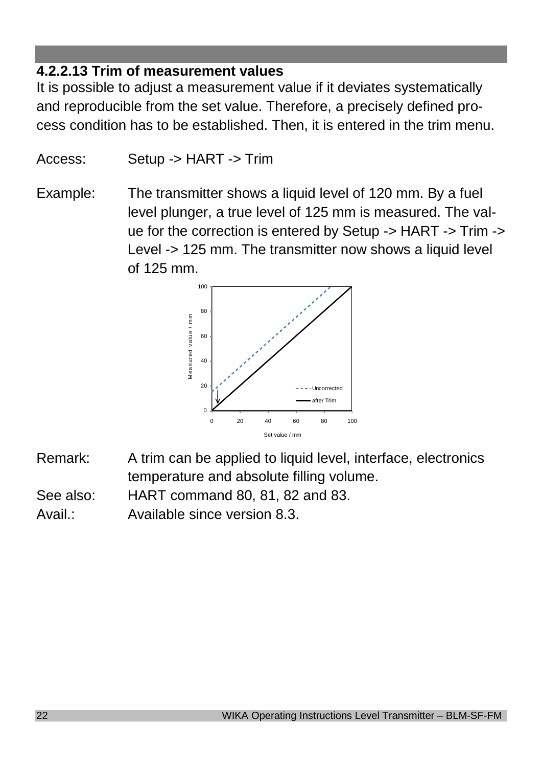# **4.2.2.13 Trim of measurement values**

It is possible to adjust a measurement value if it deviates systematically and reproducible from the set value. Therefore, a precisely defined process condition has to be established. Then, it is entered in the trim menu.

Access: Setup -> HART -> Trim

Example: The transmitter shows a liquid level of 120 mm. By a fuel level plunger, a true level of 125 mm is measured. The value for the correction is entered by Setup -> HART -> Trim -> Level -> 125 mm. The transmitter now shows a liquid level of 125 mm.



- Remark: A trim can be applied to liquid level, interface, electronics temperature and absolute filling volume.
- See also: HART command 80, 81, 82 and 83.
- Avail.: Available since version 8.3.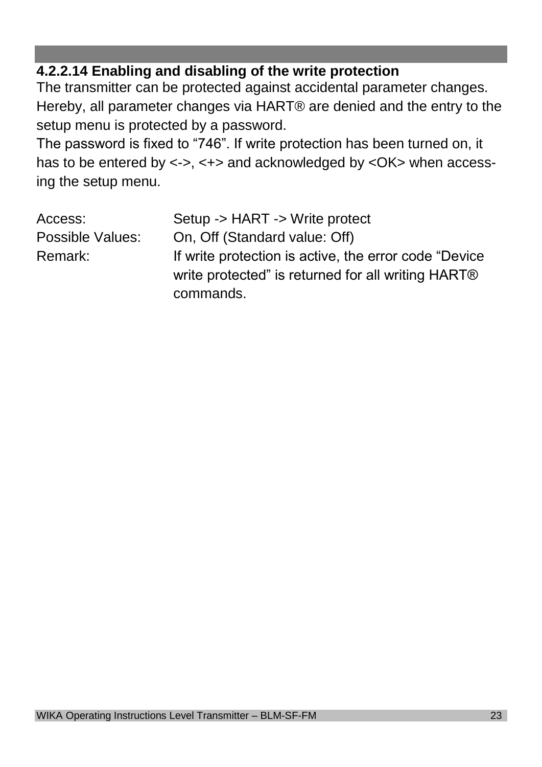# **4.2.2.14 Enabling and disabling of the write protection**

The transmitter can be protected against accidental parameter changes. Hereby, all parameter changes via HART® are denied and the entry to the setup menu is protected by a password.

The password is fixed to "746". If write protection has been turned on, it has to be entered by <->, <+> and acknowledged by <OK> when accessing the setup menu.

| Access:          | Setup -> HART -> Write protect                         |
|------------------|--------------------------------------------------------|
| Possible Values: | On, Off (Standard value: Off)                          |
| Remark:          | If write protection is active, the error code "Device" |
|                  | write protected" is returned for all writing HART®     |
|                  | commands.                                              |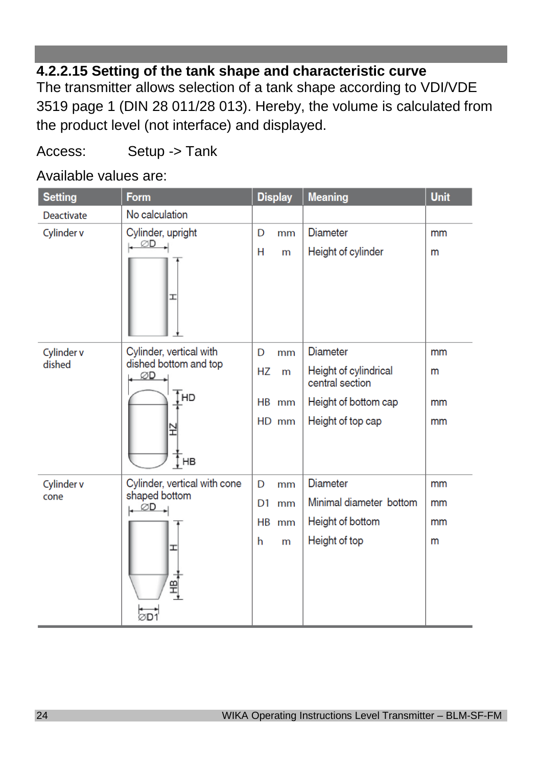# **4.2.2.15 Setting of the tank shape and characteristic curve**

The transmitter allows selection of a tank shape according to VDI/VDE 3519 page 1 (DIN 28 011/28 013). Hereby, the volume is calculated from the product level (not interface) and displayed.

# Access: Setup -> Tank

# Available values are:

| <b>Setting</b>    | Form                                                | <b>Display</b>       | <b>Meaning</b>                           | <b>Unit</b> |
|-------------------|-----------------------------------------------------|----------------------|------------------------------------------|-------------|
| <b>Deactivate</b> | No calculation                                      |                      |                                          |             |
| Cylinder v        | Cylinder, upright                                   | D<br>mm              | <b>Diameter</b>                          | mm          |
|                   | ØD<br>I                                             | н<br>m               | Height of cylinder                       | m           |
| Cylinder v        | Cylinder, vertical with                             | D<br>mm              | <b>Diameter</b>                          | mm          |
| dished            | dished bottom and top<br>∅D<br>Ţнр                  | <b>HZ</b><br>m       | Height of cylindrical<br>central section | m           |
|                   |                                                     | HB mm                | Height of bottom cap                     | mm          |
|                   | Ξ<br>‡ HB                                           | HD mm                | Height of top cap                        | mm          |
| Cylinder v        | Cylinder, vertical with cone                        | D<br>mm              | <b>Diameter</b>                          | mm          |
| cone              | shaped bottom<br>$\mathsf{L}$ $\emptyset\mathsf{D}$ | D <sub>1</sub><br>mm | Minimal diameter bottom                  | mm          |
|                   |                                                     | <b>HB</b><br>mm      | Height of bottom                         | mm          |
|                   | I<br>$\frac{1}{2}$<br>ØD1                           | h<br>m               | Height of top                            | m           |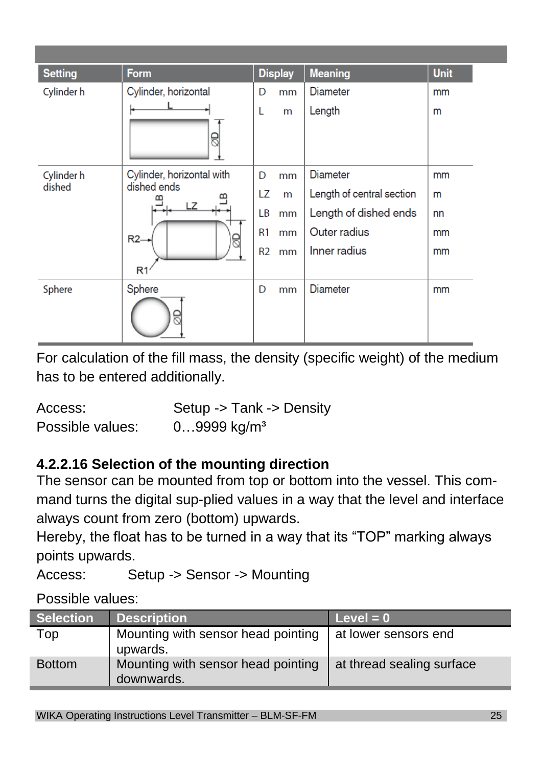| <b>Setting</b><br>Cylinder h | <b>Form</b><br>Cylinder, horizontal<br>8                                  | D<br>L                                            | <b>Display</b><br>mm<br>m | <b>Meaning</b><br><b>Diameter</b><br>Length                                                           | <b>Unit</b><br>mm<br>m    |
|------------------------------|---------------------------------------------------------------------------|---------------------------------------------------|---------------------------|-------------------------------------------------------------------------------------------------------|---------------------------|
| Cylinder h<br>dished         | Cylinder, horizontal with<br>dished ends<br>LZ<br>$R2-$<br>R <sub>1</sub> | D<br>LZ<br>LВ<br>R <sub>1</sub><br>R <sub>2</sub> | mm<br>m<br>mm<br>mm<br>mm | <b>Diameter</b><br>Length of central section<br>Length of dished ends<br>Outer radius<br>Inner radius | mm<br>m<br>nn<br>mm<br>mm |
| Sphere                       | Sphere                                                                    | D                                                 | mm                        | <b>Diameter</b>                                                                                       | mm                        |

For calculation of the fill mass, the density (specific weight) of the medium has to be entered additionally.

Access: Setup -> Tank -> Density Possible values: 0...9999 kg/m<sup>3</sup>

# **4.2.2.16 Selection of the mounting direction**

The sensor can be mounted from top or bottom into the vessel. This command turns the digital sup-plied values in a way that the level and interface always count from zero (bottom) upwards.

Hereby, the float has to be turned in a way that its "TOP" marking always points upwards.

Access: Setup -> Sensor -> Mounting

Possible values:

| <b>Selection</b> | <b>Description</b>                               | Level = $0$               |
|------------------|--------------------------------------------------|---------------------------|
| Top              | Mounting with sensor head pointing<br>upwards.   | at lower sensors end      |
| <b>Bottom</b>    | Mounting with sensor head pointing<br>downwards. | at thread sealing surface |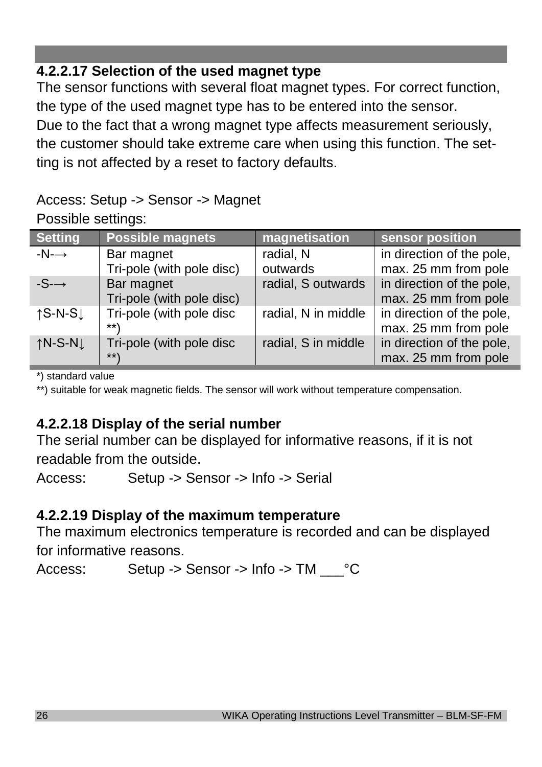# **4.2.2.17 Selection of the used magnet type**

The sensor functions with several float magnet types. For correct function, the type of the used magnet type has to be entered into the sensor. Due to the fact that a wrong magnet type affects measurement seriously, the customer should take extreme care when using this function. The setting is not affected by a reset to factory defaults.

## Access: Setup -> Sensor -> Magnet Possible settings:

| <b>Setting</b>                | Possible magnets                        | magnetisation         | sensor position                                   |
|-------------------------------|-----------------------------------------|-----------------------|---------------------------------------------------|
| $-N \rightarrow$              | Bar magnet<br>Tri-pole (with pole disc) | radial, N<br>outwards | in direction of the pole,<br>max. 25 mm from pole |
| $-S \rightarrow$              | Bar magnet<br>Tri-pole (with pole disc) | radial, S outwards    | in direction of the pole,<br>max. 25 mm from pole |
| $\uparrow$ S-N-S $\downarrow$ | Tri-pole (with pole disc<br>$***$ )     | radial, N in middle   | in direction of the pole,<br>max. 25 mm from pole |
| $\uparrow$ N-S-N $\downarrow$ | Tri-pole (with pole disc<br>$***$       | radial, S in middle   | in direction of the pole,<br>max. 25 mm from pole |

\*) standard value

\*\*) suitable for weak magnetic fields. The sensor will work without temperature compensation.

# **4.2.2.18 Display of the serial number**

The serial number can be displayed for informative reasons, if it is not readable from the outside.

Access: Setup -> Sensor -> Info -> Serial

# **4.2.2.19 Display of the maximum temperature**

The maximum electronics temperature is recorded and can be displayed for informative reasons.

Access: Setup -> Sensor -> Info -> TM  $°C$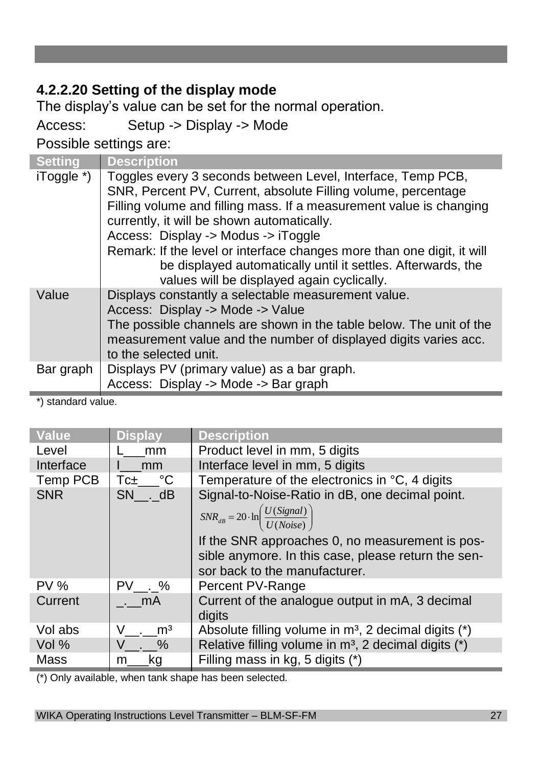# **4.2.2.20 Setting of the display mode**

The display's value can be set for the normal operation.

Access: Setup -> Display -> Mode

Possible settings are:

| <b>Setting</b> | <b>Description</b>                                                                                                                                                                                                                                                                                                                                                                                                                                                               |
|----------------|----------------------------------------------------------------------------------------------------------------------------------------------------------------------------------------------------------------------------------------------------------------------------------------------------------------------------------------------------------------------------------------------------------------------------------------------------------------------------------|
| iToggle *)     | Toggles every 3 seconds between Level, Interface, Temp PCB,<br>SNR, Percent PV, Current, absolute Filling volume, percentage<br>Filling volume and filling mass. If a measurement value is changing<br>currently, it will be shown automatically.<br>Access: Display -> Modus -> iToggle<br>Remark: If the level or interface changes more than one digit, it will<br>be displayed automatically until it settles. Afterwards, the<br>values will be displayed again cyclically. |
| Value          | Displays constantly a selectable measurement value.<br>Access: Display -> Mode -> Value<br>The possible channels are shown in the table below. The unit of the<br>measurement value and the number of displayed digits varies acc.<br>to the selected unit.                                                                                                                                                                                                                      |
| Bar graph      | Displays PV (primary value) as a bar graph.                                                                                                                                                                                                                                                                                                                                                                                                                                      |
|                | Access: Display -> Mode -> Bar graph                                                                                                                                                                                                                                                                                                                                                                                                                                             |

\*) standard value.

| <b>Value</b> | <b>Display</b>   | <b>Description</b>                                                                   |
|--------------|------------------|--------------------------------------------------------------------------------------|
| Level        | mm               | Product level in mm, 5 digits                                                        |
| Interface    | mm               | Interface level in mm, 5 digits                                                      |
| Temp PCB     | $Tc_{\pm}$ °C    | Temperature of the electronics in °C, 4 digits                                       |
| <b>SNR</b>   | SN . dB          | Signal-to-Noise-Ratio in dB, one decimal point.                                      |
|              |                  | $SNR_{dB} = 20 \cdot \ln \left( \frac{U(Signal)}{U(Noise)} \right)$                  |
|              |                  | If the SNR approaches 0, no measurement is pos-                                      |
|              |                  | sible anymore. In this case, please return the sen-<br>sor back to the manufacturer. |
| $PV$ %       | PV . %           | Percent PV-Range                                                                     |
| Current      | . mA             | Current of the analogue output in mA, 3 decimal<br>digits                            |
| Vol abs      | $\rm{m}^3$<br>V. | Absolute filling volume in m <sup>3</sup> , 2 decimal digits (*)                     |
| Vol $%$      | V. %             | Relative filling volume in m <sup>3</sup> , 2 decimal digits (*)                     |
| Mass         | .kg<br>m         | Filling mass in kg, 5 digits (*)                                                     |

(\*) Only available, when tank shape has been selected.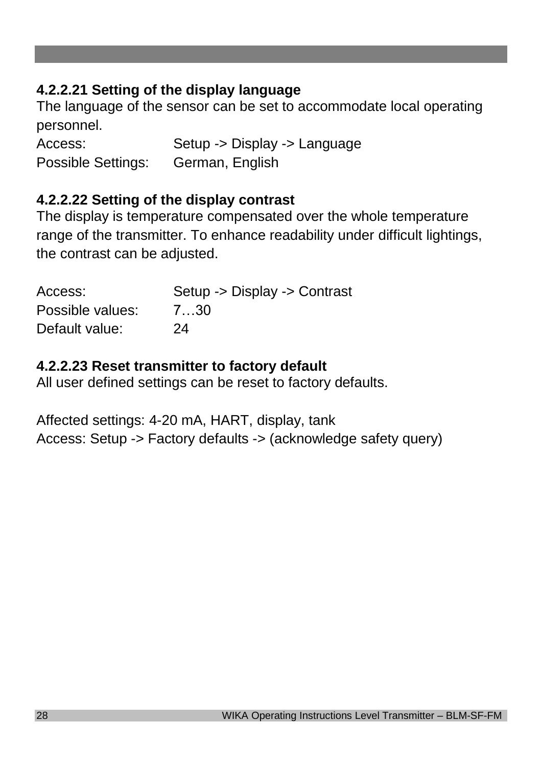# **4.2.2.21 Setting of the display language**

The language of the sensor can be set to accommodate local operating personnel.

Access: Setup -> Display -> Language Possible Settings: German, English

# **4.2.2.22 Setting of the display contrast**

The display is temperature compensated over the whole temperature range of the transmitter. To enhance readability under difficult lightings, the contrast can be adjusted.

| Access:          | Setup -> Display -> Contrast |
|------------------|------------------------------|
| Possible values: | 7…30                         |
| Default value:   | 24                           |

# **4.2.2.23 Reset transmitter to factory default**

All user defined settings can be reset to factory defaults.

Affected settings: 4-20 mA, HART, display, tank Access: Setup -> Factory defaults -> (acknowledge safety query)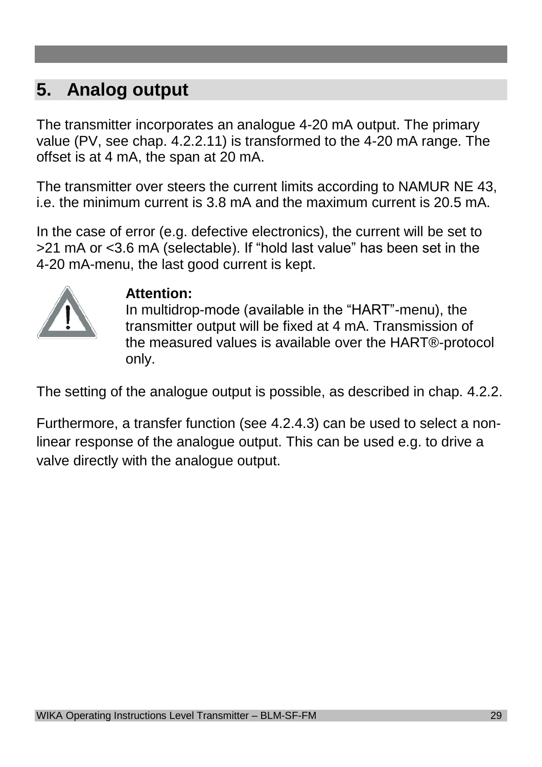# **5. Analog output**

The transmitter incorporates an analogue 4-20 mA output. The primary value (PV, see chap. 4.2.2.11) is transformed to the 4-20 mA range. The offset is at 4 mA, the span at 20 mA.

The transmitter over steers the current limits according to NAMUR NE 43, i.e. the minimum current is 3.8 mA and the maximum current is 20.5 mA.

In the case of error (e.g. defective electronics), the current will be set to >21 mA or <3.6 mA (selectable). If "hold last value" has been set in the 4-20 mA-menu, the last good current is kept.



# **Attention:**

In multidrop-mode (available in the "HART"-menu), the transmitter output will be fixed at 4 mA. Transmission of the measured values is available over the HART®-protocol only.

The setting of the analogue output is possible, as described in chap. 4.2.2.

Furthermore, a transfer function (see 4.2.4.3) can be used to select a nonlinear response of the analogue output. This can be used e.g. to drive a valve directly with the analogue output.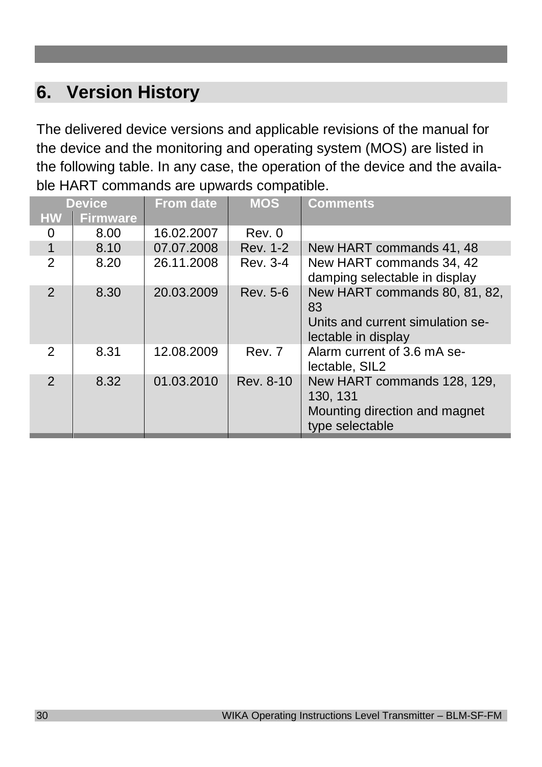# **6. Version History**

The delivered device versions and applicable revisions of the manual for the device and the monitoring and operating system (MOS) are listed in the following table. In any case, the operation of the device and the available HART commands are upwards compatible.

| <b>Device</b>  |                 | <b>From date</b> | <b>MOS</b> | <b>Comments</b>                                                                                |
|----------------|-----------------|------------------|------------|------------------------------------------------------------------------------------------------|
| <b>HW</b>      | <b>Firmware</b> |                  |            |                                                                                                |
| 0              | 8.00            | 16.02.2007       | Rev. 0     |                                                                                                |
| $\mathbf{1}$   | 8.10            | 07.07.2008       | Rev. 1-2   | New HART commands 41, 48                                                                       |
| $\overline{2}$ | 8.20            | 26.11.2008       | Rev. 3-4   | New HART commands 34, 42<br>damping selectable in display                                      |
| $\overline{2}$ | 8.30            | 20.03.2009       | Rev. 5-6   | New HART commands 80, 81, 82,<br>83<br>Units and current simulation se-<br>lectable in display |
| 2              | 8.31            | 12.08.2009       | Rev. 7     | Alarm current of 3.6 mA se-<br>lectable, SIL2                                                  |
| $\mathcal{P}$  | 8.32            | 01.03.2010       | Rev. 8-10  | New HART commands 128, 129,<br>130, 131<br>Mounting direction and magnet<br>type selectable    |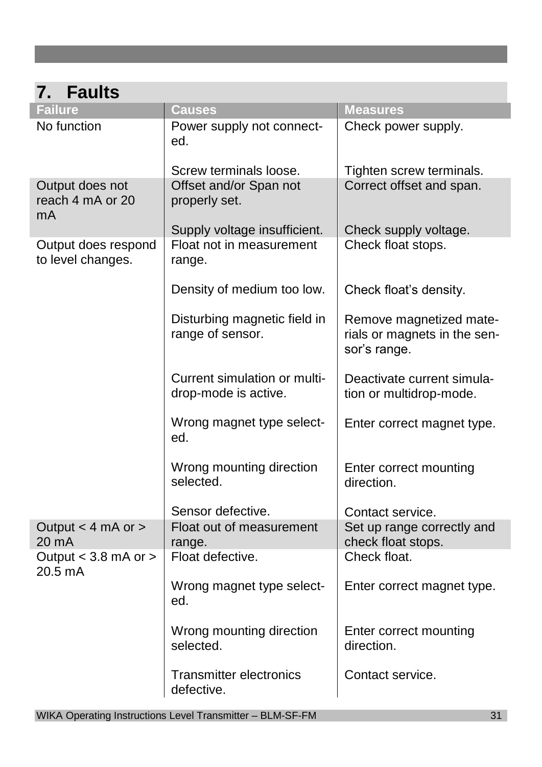| <b>Faults</b><br>7.                       |                                                      |                                                                         |
|-------------------------------------------|------------------------------------------------------|-------------------------------------------------------------------------|
| <b>Failure</b>                            | <b>Causes</b>                                        | <b>Measures</b>                                                         |
| No function                               | Power supply not connect-<br>ed.                     | Check power supply.                                                     |
|                                           | Screw terminals loose.                               | Tighten screw terminals.                                                |
| Output does not<br>reach 4 mA or 20<br>mA | Offset and/or Span not<br>properly set.              | Correct offset and span.                                                |
|                                           | Supply voltage insufficient.                         | Check supply voltage.                                                   |
| Output does respond<br>to level changes.  | Float not in measurement<br>range.                   | Check float stops.                                                      |
|                                           | Density of medium too low.                           | Check float's density.                                                  |
|                                           | Disturbing magnetic field in<br>range of sensor.     | Remove magnetized mate-<br>rials or magnets in the sen-<br>sor's range. |
|                                           | Current simulation or multi-<br>drop-mode is active. | Deactivate current simula-<br>tion or multidrop-mode.                   |
|                                           | Wrong magnet type select-<br>ed.                     | Enter correct magnet type.                                              |
|                                           | Wrong mounting direction<br>selected.                | Enter correct mounting<br>direction.                                    |
|                                           | Sensor defective.                                    | Contact service.                                                        |
| Output < 4 mA or ><br>20 mA               | Float out of measurement<br>range.                   | Set up range correctly and<br>check float stops.                        |
| Output $<$ 3.8 mA or $>$<br>20.5 mA       | Float defective.                                     | Check float.                                                            |
|                                           | Wrong magnet type select-<br>ed.                     | Enter correct magnet type.                                              |
|                                           | Wrong mounting direction<br>selected.                | Enter correct mounting<br>direction.                                    |
|                                           | <b>Transmitter electronics</b><br>defective.         | Contact service.                                                        |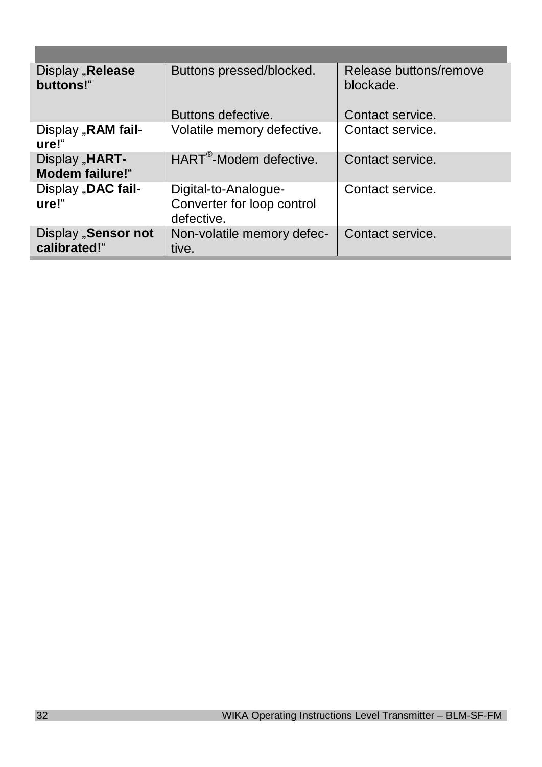| Display "Release<br>buttons!"             | Buttons pressed/blocked.                                         | Release buttons/remove<br>blockade. |
|-------------------------------------------|------------------------------------------------------------------|-------------------------------------|
|                                           | Buttons defective.                                               | Contact service.                    |
| Display "RAM fail-<br>ure!"               | Volatile memory defective.                                       | Contact service.                    |
| Display "HART-<br><b>Modem failure!</b> " | HART <sup>®</sup> -Modem defective.                              | Contact service.                    |
| Display "DAC fail-<br>ure!"               | Digital-to-Analogue-<br>Converter for loop control<br>defective. | Contact service.                    |
| Display "Sensor not<br>calibrated!"       | Non-volatile memory defec-<br>tive.                              | Contact service.                    |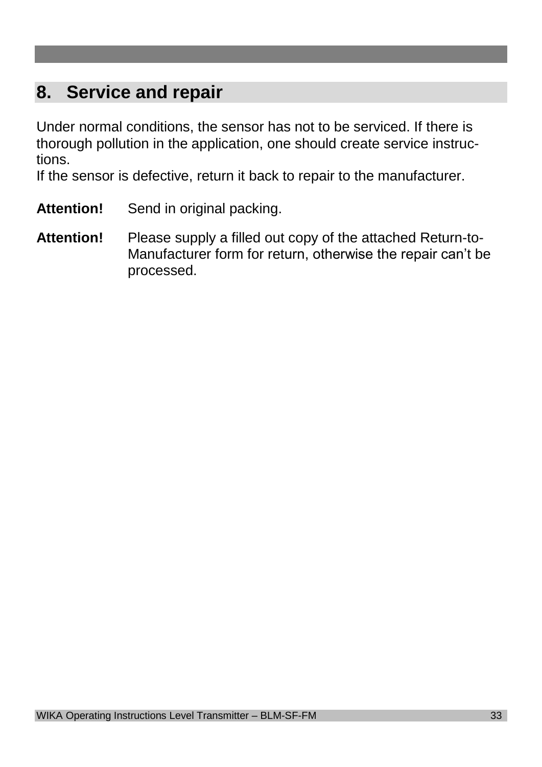# **8. Service and repair**

Under normal conditions, the sensor has not to be serviced. If there is thorough pollution in the application, one should create service instructions.

If the sensor is defective, return it back to repair to the manufacturer.

- Attention! Send in original packing.
- **Attention!** Please supply a filled out copy of the attached Return-to-Manufacturer form for return, otherwise the repair can't be processed.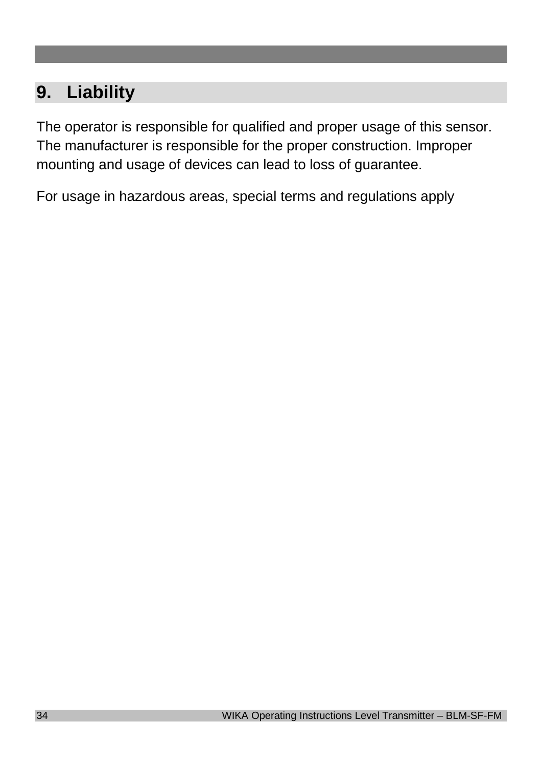# **9. Liability**

The operator is responsible for qualified and proper usage of this sensor. The manufacturer is responsible for the proper construction. Improper mounting and usage of devices can lead to loss of guarantee.

For usage in hazardous areas, special terms and regulations apply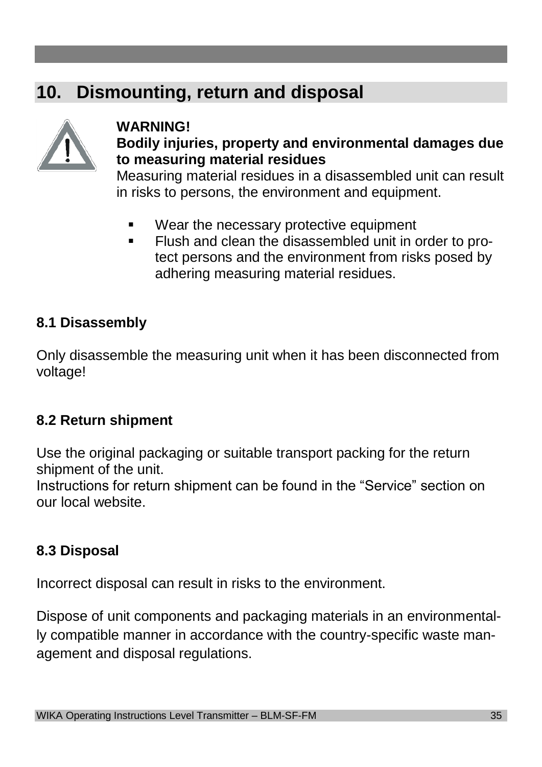# **10. Dismounting, return and disposal**



### **WARNING! Bodily injuries, property and environmental damages due to measuring material residues**

Measuring material residues in a disassembled unit can result in risks to persons, the environment and equipment.

- Wear the necessary protective equipment
- **Flush and clean the disassembled unit in order to pro**tect persons and the environment from risks posed by adhering measuring material residues.

# **8.1 Disassembly**

Only disassemble the measuring unit when it has been disconnected from voltage!

# **8.2 Return shipment**

Use the original packaging or suitable transport packing for the return shipment of the unit.

Instructions for return shipment can be found in the "Service" section on our local website.

# **8.3 Disposal**

Incorrect disposal can result in risks to the environment.

Dispose of unit components and packaging materials in an environmentally compatible manner in accordance with the country-specific waste management and disposal regulations.